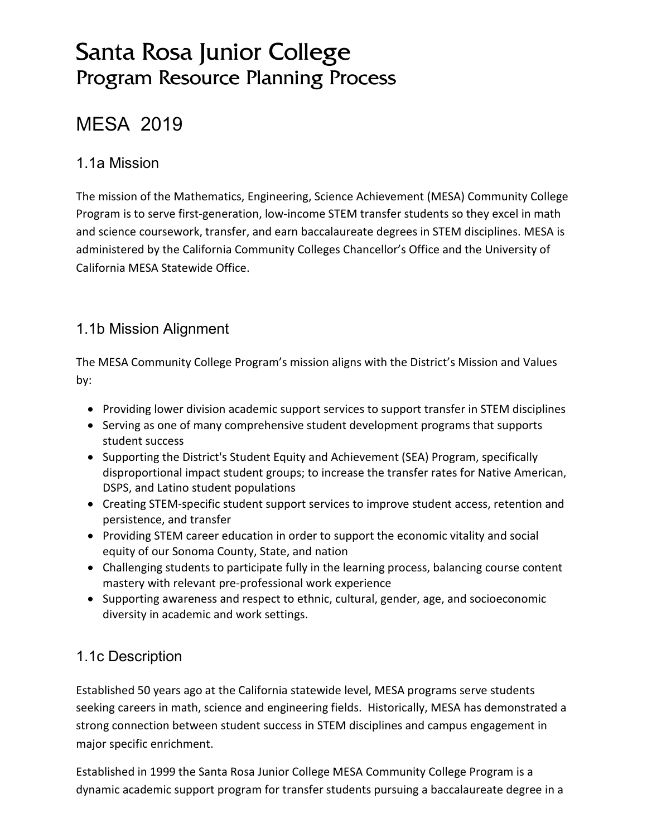# Santa Rosa Junior College Program Resource Planning Process

# MESA 2019

### 1.1a Mission

The mission of the Mathematics, Engineering, Science Achievement (MESA) Community College Program is to serve first-generation, low-income STEM transfer students so they excel in math and science coursework, transfer, and earn baccalaureate degrees in STEM disciplines. MESA is administered by the California Community Colleges Chancellor's Office and the University of California MESA Statewide Office.

### 1.1b Mission Alignment

The MESA Community College Program's mission aligns with the District's Mission and Values by:

- Providing lower division academic support services to support transfer in STEM disciplines
- Serving as one of many comprehensive student development programs that supports student success
- Supporting the District's Student Equity and Achievement (SEA) Program, specifically disproportional impact student groups; to increase the transfer rates for Native American, DSPS, and Latino student populations
- Creating STEM-specific student support services to improve student access, retention and persistence, and transfer
- Providing STEM career education in order to support the economic vitality and social equity of our Sonoma County, State, and nation
- Challenging students to participate fully in the learning process, balancing course content mastery with relevant pre-professional work experience
- Supporting awareness and respect to ethnic, cultural, gender, age, and socioeconomic diversity in academic and work settings.

### 1.1c Description

Established 50 years ago at the California statewide level, MESA programs serve students seeking careers in math, science and engineering fields. Historically, MESA has demonstrated a strong connection between student success in STEM disciplines and campus engagement in major specific enrichment.

Established in 1999 the Santa Rosa Junior College MESA Community College Program is a dynamic academic support program for transfer students pursuing a baccalaureate degree in a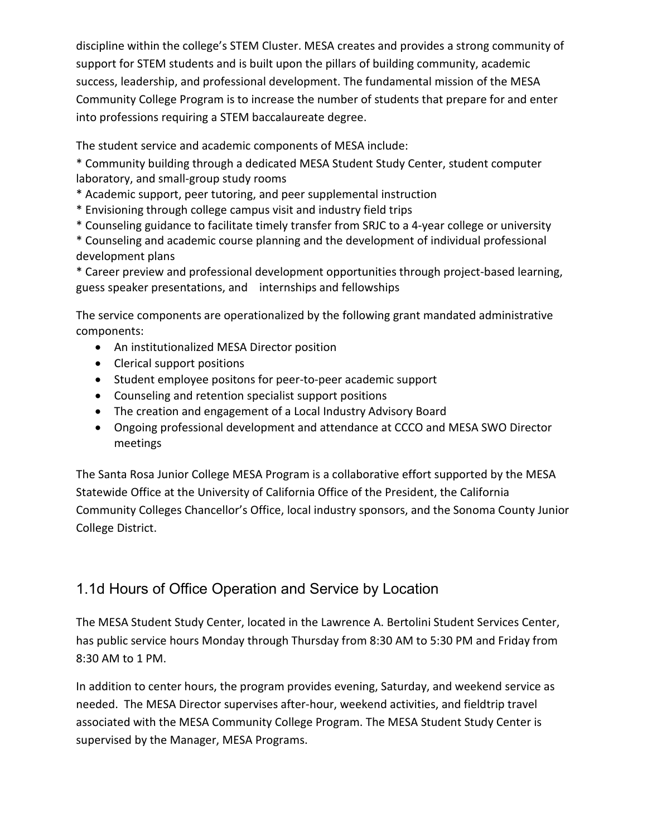discipline within the college's STEM Cluster. MESA creates and provides a strong community of support for STEM students and is built upon the pillars of building community, academic success, leadership, and professional development. The fundamental mission of the MESA Community College Program is to increase the number of students that prepare for and enter into professions requiring a STEM baccalaureate degree.

The student service and academic components of MESA include:

\* Community building through a dedicated MESA Student Study Center, student computer laboratory, and small-group study rooms

- \* Academic support, peer tutoring, and peer supplemental instruction
- \* Envisioning through college campus visit and industry field trips
- \* Counseling guidance to facilitate timely transfer from SRJC to a 4-year college or university

\* Counseling and academic course planning and the development of individual professional development plans

\* Career preview and professional development opportunities through project-based learning, guess speaker presentations, and internships and fellowships

The service components are operationalized by the following grant mandated administrative components:

- An institutionalized MESA Director position
- Clerical support positions
- Student employee positons for peer-to-peer academic support
- Counseling and retention specialist support positions
- The creation and engagement of a Local Industry Advisory Board
- Ongoing professional development and attendance at CCCO and MESA SWO Director meetings

The Santa Rosa Junior College MESA Program is a collaborative effort supported by the MESA Statewide Office at the University of California Office of the President, the California Community Colleges Chancellor's Office, local industry sponsors, and the Sonoma County Junior College District.

### 1.1d Hours of Office Operation and Service by Location

The MESA Student Study Center, located in the Lawrence A. Bertolini Student Services Center, has public service hours Monday through Thursday from 8:30 AM to 5:30 PM and Friday from 8:30 AM to 1 PM.

In addition to center hours, the program provides evening, Saturday, and weekend service as needed. The MESA Director supervises after-hour, weekend activities, and fieldtrip travel associated with the MESA Community College Program. The MESA Student Study Center is supervised by the Manager, MESA Programs.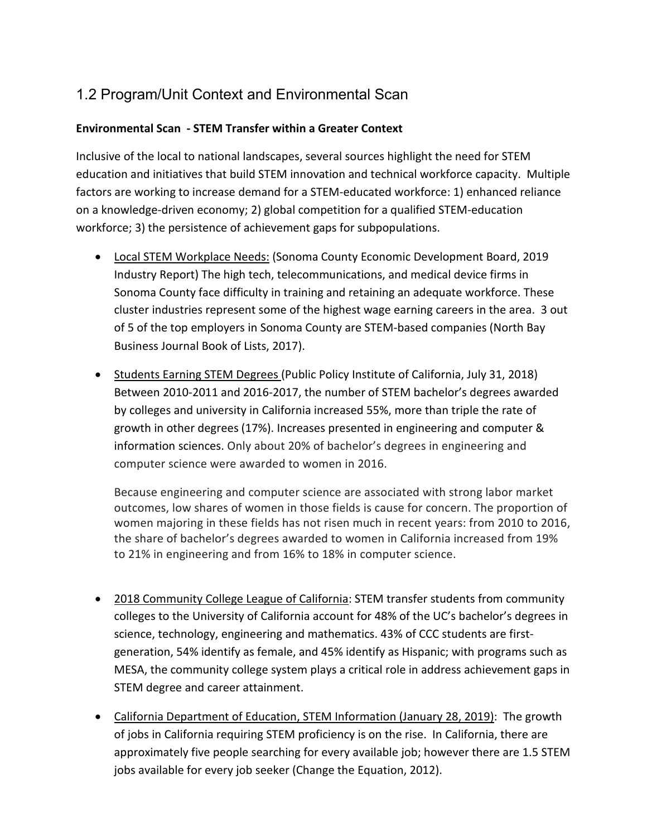## 1.2 Program/Unit Context and Environmental Scan

#### **Environmental Scan - STEM Transfer within a Greater Context**

Inclusive of the local to national landscapes, several sources highlight the need for STEM education and initiatives that build STEM innovation and technical workforce capacity. Multiple factors are working to increase demand for a STEM-educated workforce: 1) enhanced reliance on a knowledge-driven economy; 2) global competition for a qualified STEM-education workforce; 3) the persistence of achievement gaps for subpopulations.

- Local STEM Workplace Needs: (Sonoma County Economic Development Board, 2019 Industry Report) The high tech, telecommunications, and medical device firms in Sonoma County face difficulty in training and retaining an adequate workforce. These cluster industries represent some of the highest wage earning careers in the area. 3 out of 5 of the top employers in Sonoma County are STEM-based companies (North Bay Business Journal Book of Lists, 2017).
- Students Earning STEM Degrees (Public Policy Institute of California, July 31, 2018) Between 2010-2011 and 2016-2017, the number of STEM bachelor's degrees awarded by colleges and university in California increased 55%, more than triple the rate of growth in other degrees (17%). Increases presented in engineering and computer & information sciences. Only about 20% of bachelor's degrees in engineering and computer science were awarded to women in 2016.

Because engineering and computer science are associated with strong labor market outcomes, low shares of women in those fields is cause for concern. The proportion of women majoring in these fields has not risen much in recent years: from 2010 to 2016, the share of bachelor's degrees awarded to women in California increased from 19% to 21% in engineering and from 16% to 18% in computer science.

- 2018 Community College League of California: STEM transfer students from community colleges to the University of California account for 48% of the UC's bachelor's degrees in science, technology, engineering and mathematics. 43% of CCC students are firstgeneration, 54% identify as female, and 45% identify as Hispanic; with programs such as MESA, the community college system plays a critical role in address achievement gaps in STEM degree and career attainment.
- California Department of Education, STEM Information (January 28, 2019): The growth of jobs in California requiring STEM proficiency is on the rise. In California, there are approximately five people searching for every available job; however there are 1.5 STEM jobs available for every job seeker (Change the Equation, 2012).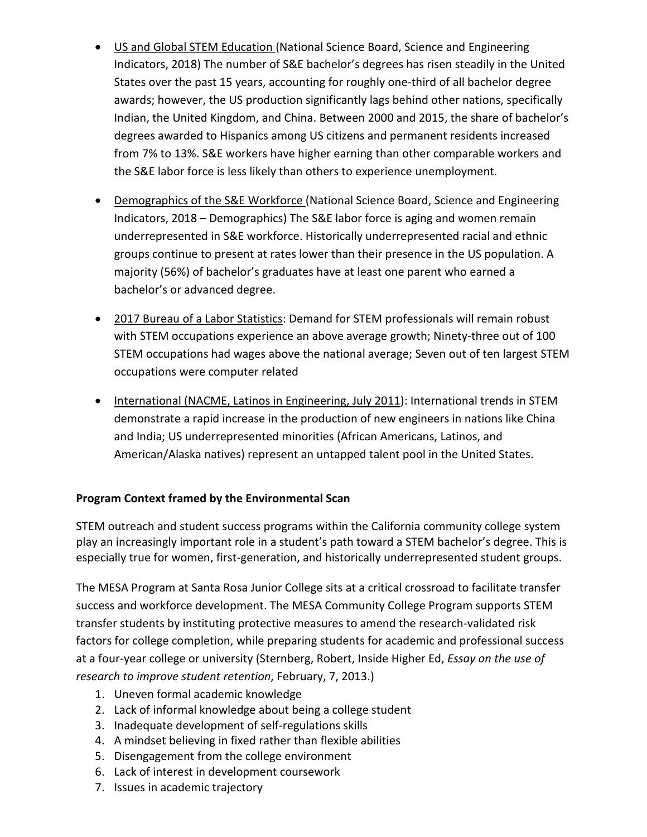- US and Global STEM Education (National Science Board, Science and Engineering Indicators, 2018) The number of S&E bachelor's degrees has risen steadily in the United States over the past 15 years, accounting for roughly one-third of all bachelor degree awards; however, the US production significantly lags behind other nations, specifically Indian, the United Kingdom, and China. Between 2000 and 2015, the share of bachelor's degrees awarded to Hispanics among US citizens and permanent residents increased from 7% to 13%. S&E workers have higher earning than other comparable workers and the S&E labor force is less likely than others to experience unemployment.
- Demographics of the S&E Workforce (National Science Board, Science and Engineering Indicators, 2018 – Demographics) The S&E labor force is aging and women remain underrepresented in S&E workforce. Historically underrepresented racial and ethnic groups continue to present at rates lower than their presence in the US population. A majority (56%) of bachelor's graduates have at least one parent who earned a bachelor's or advanced degree.
- 2017 Bureau of a Labor Statistics: Demand for STEM professionals will remain robust with STEM occupations experience an above average growth; Ninety-three out of 100 STEM occupations had wages above the national average; Seven out of ten largest STEM occupations were computer related
- International (NACME, Latinos in Engineering, July 2011): International trends in STEM demonstrate a rapid increase in the production of new engineers in nations like China and India; US underrepresented minorities (African Americans, Latinos, and American/Alaska natives) represent an untapped talent pool in the United States.

#### **Program Context framed by the Environmental Scan**

STEM outreach and student success programs within the California community college system play an increasingly important role in a student's path toward a STEM bachelor's degree. This is especially true for women, first-generation, and historically underrepresented student groups.

The MESA Program at Santa Rosa Junior College sits at a critical crossroad to facilitate transfer success and workforce development. The MESA Community College Program supports STEM transfer students by instituting protective measures to amend the research-validated risk factors for college completion, while preparing students for academic and professional success at a four-year college or university (Sternberg, Robert, Inside Higher Ed, *Essay on the use of research to improve student retention*, February, 7, 2013.)

- 1. Uneven formal academic knowledge
- 2. Lack of informal knowledge about being a college student
- 3. Inadequate development of self-regulations skills
- 4. A mindset believing in fixed rather than flexible abilities
- 5. Disengagement from the college environment
- 6. Lack of interest in development coursework
- 7. Issues in academic trajectory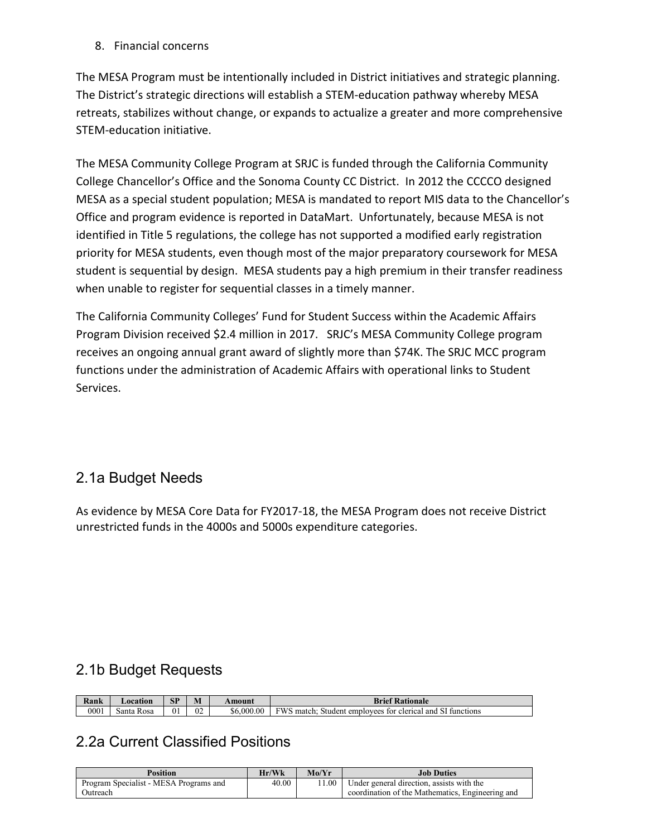8. Financial concerns

The MESA Program must be intentionally included in District initiatives and strategic planning. The District's strategic directions will establish a STEM-education pathway whereby MESA retreats, stabilizes without change, or expands to actualize a greater and more comprehensive STEM-education initiative.

The MESA Community College Program at SRJC is funded through the California Community College Chancellor's Office and the Sonoma County CC District. In 2012 the CCCCO designed MESA as a special student population; MESA is mandated to report MIS data to the Chancellor's Office and program evidence is reported in DataMart. Unfortunately, because MESA is not identified in Title 5 regulations, the college has not supported a modified early registration priority for MESA students, even though most of the major preparatory coursework for MESA student is sequential by design. MESA students pay a high premium in their transfer readiness when unable to register for sequential classes in a timely manner.

The California Community Colleges' Fund for Student Success within the Academic Affairs Program Division received \$2.4 million in 2017. SRJC's MESA Community College program receives an ongoing annual grant award of slightly more than \$74K. The SRJC MCC program functions under the administration of Academic Affairs with operational links to Student Services.

### 2.1a Budget Needs

As evidence by MESA Core Data for FY2017-18, the MESA Program does not receive District unrestricted funds in the 4000s and 5000s expenditure categories.

### 2.1b Budget Requests

| $\mathbf{r}$<br>Kank | ∟ocation      | <b>SP</b> | M            | Amount     | <b>Brief</b><br>*Rationale                                                                        |
|----------------------|---------------|-----------|--------------|------------|---------------------------------------------------------------------------------------------------|
| 0001                 | Rosa<br>Santa | 01        | $\sim$<br>UZ | \$6,000.00 | <b>FWS</b><br>clerica<br>employees<br>functions<br>tor<br>and<br>match<br>Student<br>$\mathbf{1}$ |

### 2.2a Current Classified Positions

| <b>Position</b>                        | Hr/Wk | Mo/Yr | <b>Job Duties</b>                                |
|----------------------------------------|-------|-------|--------------------------------------------------|
| Program Specialist - MESA Programs and | 40.00 | 1.00  | Under general direction, assists with the        |
| Outreach                               |       |       | coordination of the Mathematics. Engineering and |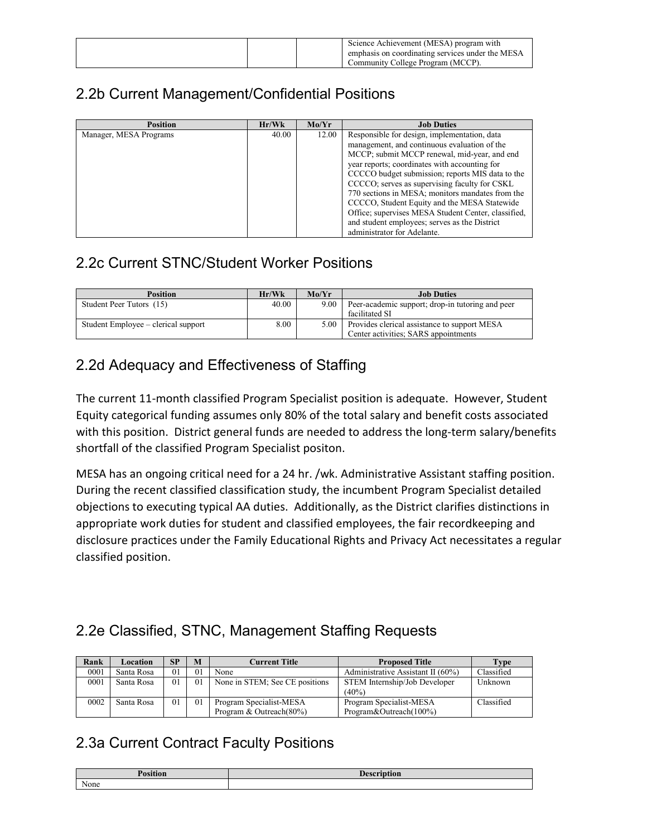|  | Science Achievement (MESA) program with          |
|--|--------------------------------------------------|
|  | emphasis on coordinating services under the MESA |
|  | Community College Program (MCCP).                |

### 2.2b Current Management/Confidential Positions

| <b>Position</b>        | Hr/Wk | Mo/Yr | <b>Job Duties</b>                                   |
|------------------------|-------|-------|-----------------------------------------------------|
| Manager, MESA Programs | 40.00 | 12.00 | Responsible for design, implementation, data        |
|                        |       |       | management, and continuous evaluation of the        |
|                        |       |       | MCCP; submit MCCP renewal, mid-year, and end        |
|                        |       |       | year reports; coordinates with accounting for       |
|                        |       |       | CCCCO budget submission; reports MIS data to the    |
|                        |       |       | CCCCO; serves as supervising faculty for CSKL       |
|                        |       |       | 770 sections in MESA; monitors mandates from the    |
|                        |       |       | CCCCO, Student Equity and the MESA Statewide        |
|                        |       |       | Office; supervises MESA Student Center, classified, |
|                        |       |       | and student employees; serves as the District       |
|                        |       |       | administrator for Adelante.                         |

### 2.2c Current STNC/Student Worker Positions

| <b>Position</b>                     | Hr/Wk | Mo/Yr | <b>Job Duties</b>                                |
|-------------------------------------|-------|-------|--------------------------------------------------|
| Student Peer Tutors (15)            | 40.00 | 9.00  | Peer-academic support; drop-in tutoring and peer |
|                                     |       |       | facilitated SI                                   |
| Student Employee – clerical support | 8.00  | 5.00  | Provides clerical assistance to support MESA     |
|                                     |       |       | Center activities; SARS appointments             |

### 2.2d Adequacy and Effectiveness of Staffing

The current 11-month classified Program Specialist position is adequate. However, Student Equity categorical funding assumes only 80% of the total salary and benefit costs associated with this position. District general funds are needed to address the long-term salary/benefits shortfall of the classified Program Specialist positon.

MESA has an ongoing critical need for a 24 hr. /wk. Administrative Assistant staffing position. During the recent classified classification study, the incumbent Program Specialist detailed objections to executing typical AA duties. Additionally, as the District clarifies distinctions in appropriate work duties for student and classified employees, the fair recordkeeping and disclosure practices under the Family Educational Rights and Privacy Act necessitates a regular classified position.

### 2.2e Classified, STNC, Management Staffing Requests

| Rank | Location   | <b>SP</b>      | M              | Current Title                  | <b>Proposed Title</b>                | Type       |
|------|------------|----------------|----------------|--------------------------------|--------------------------------------|------------|
| 0001 | Santa Rosa | 01             | 01             | None                           | Administrative Assistant II $(60\%)$ | Classified |
| 0001 | Santa Rosa | $\overline{0}$ | 0 <sub>1</sub> | None in STEM; See CE positions | STEM Internship/Job Developer        | Unknown    |
|      |            |                |                |                                | $(40\%)$                             |            |
| 0002 | Santa Rosa | $\Omega$       | 0 <sub>1</sub> | Program Specialist-MESA        | Program Specialist-MESA              | Classified |
|      |            |                |                | Program & Outreach(80%)        | Program&Outreach(100%)               |            |

### 2.3a Current Contract Faculty Positions

| n<br>$\cdot$<br>'osition | 0.002222 |
|--------------------------|----------|
| None                     |          |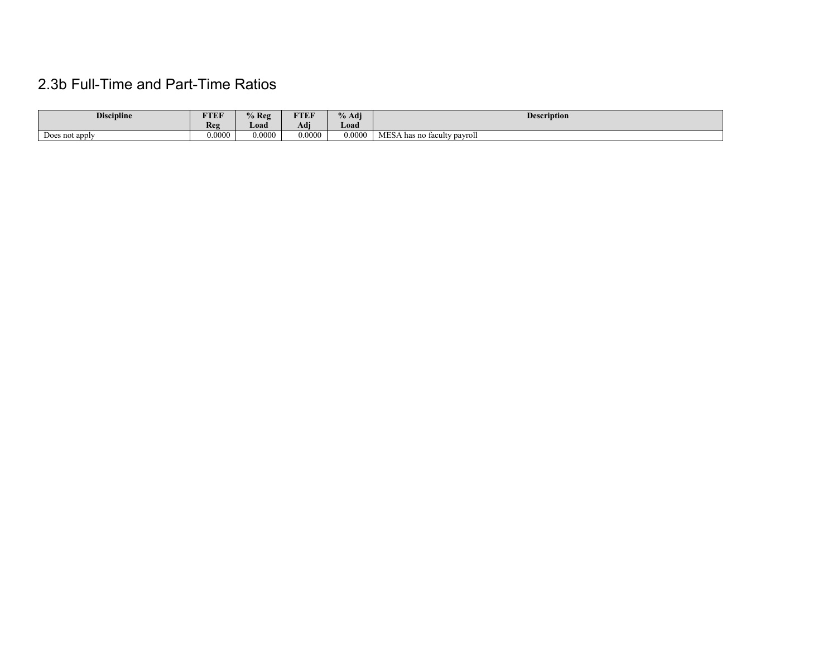## 2.3b Full-Time and Part-Time Ratios

| <b>Discipline</b>   | FTEF   | $%$ Reg | ETER<br>$1 \, \text{E} \, \text{F}$ | % Adi  | <b>Description</b>               |
|---------------------|--------|---------|-------------------------------------|--------|----------------------------------|
|                     | Reg    | Load    | $\rightarrow$<br>Adı                | Load   |                                  |
| -<br>Does not apply | 0.0000 | 0.0000  | 0.0000                              | 0.0000 | MES/<br>A has no faculty payroll |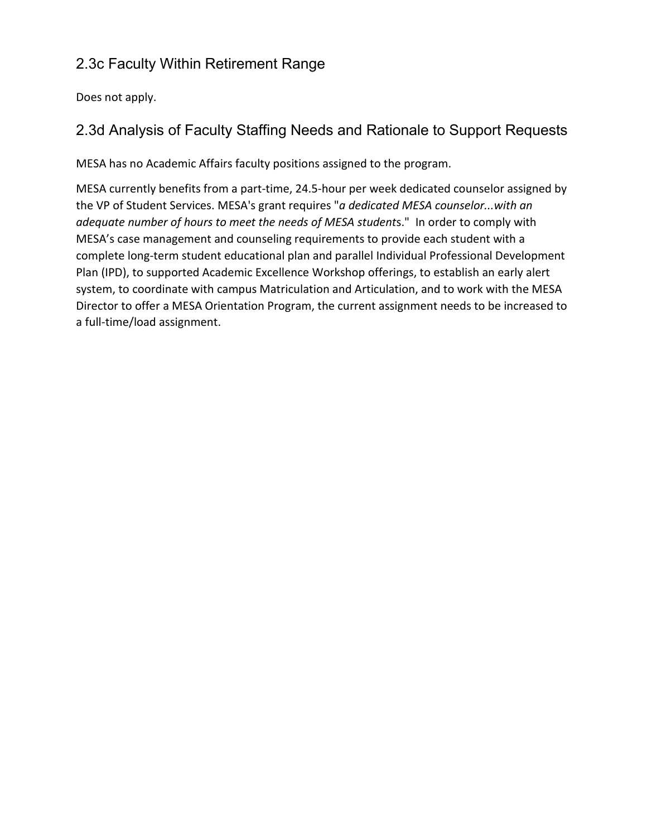### 2.3c Faculty Within Retirement Range

Does not apply.

### 2.3d Analysis of Faculty Staffing Needs and Rationale to Support Requests

MESA has no Academic Affairs faculty positions assigned to the program.

MESA currently benefits from a part-time, 24.5-hour per week dedicated counselor assigned by the VP of Student Services. MESA's grant requires "*a dedicated MESA counselor...with an adequate number of hours to meet the needs of MESA student*s." In order to comply with MESA's case management and counseling requirements to provide each student with a complete long-term student educational plan and parallel Individual Professional Development Plan (IPD), to supported Academic Excellence Workshop offerings, to establish an early alert system, to coordinate with campus Matriculation and Articulation, and to work with the MESA Director to offer a MESA Orientation Program, the current assignment needs to be increased to a full-time/load assignment.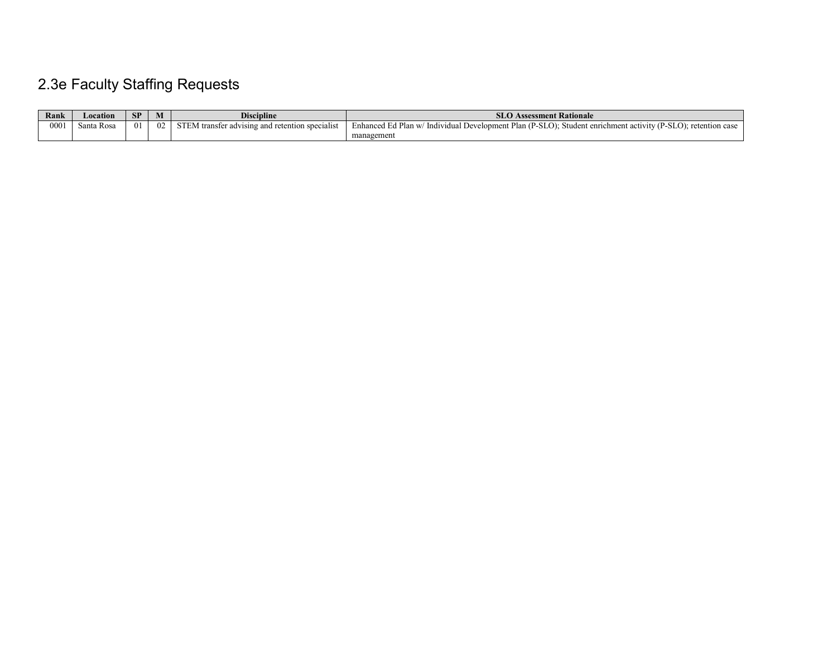# 2.3e Faculty Staffing Requests

| Rank | Location   | SP | [V]            | <b>Discipline</b>                                                                    | <b>SLO Assessment Rationale</b>                                                                                    |
|------|------------|----|----------------|--------------------------------------------------------------------------------------|--------------------------------------------------------------------------------------------------------------------|
| 0001 | Santa Rosa |    | 0 <sub>2</sub> | $\cdot$ $\cdot$<br>CFTM<br>r advising and retention specialist<br><b>EM</b> transfer | // Individual Development Plan (P-SLO); Student enrichment activity (P-SLO); retention case<br>Enhanced Ed Plan w/ |
|      |            |    |                |                                                                                      | management                                                                                                         |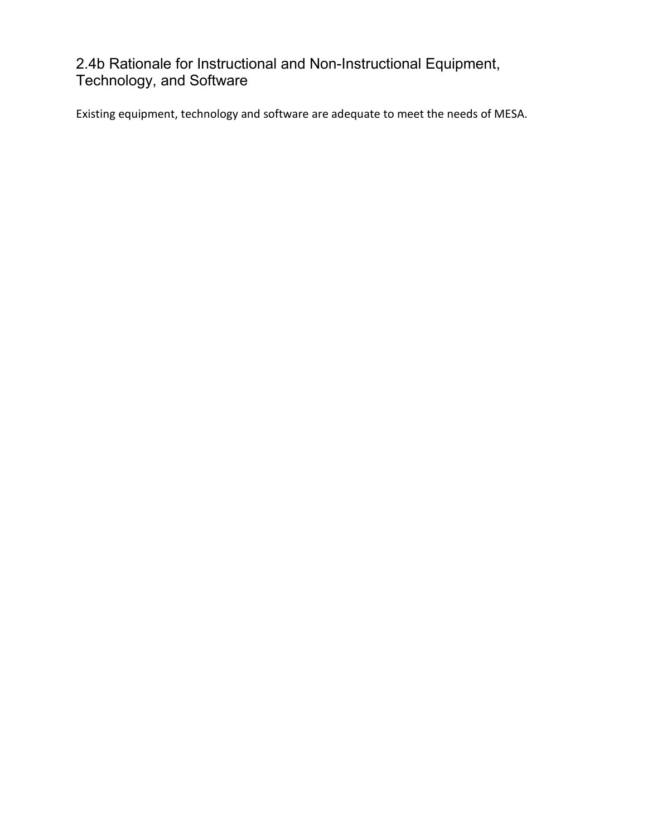### 2.4b Rationale for Instructional and Non-Instructional Equipment, Technology, and Software

Existing equipment, technology and software are adequate to meet the needs of MESA.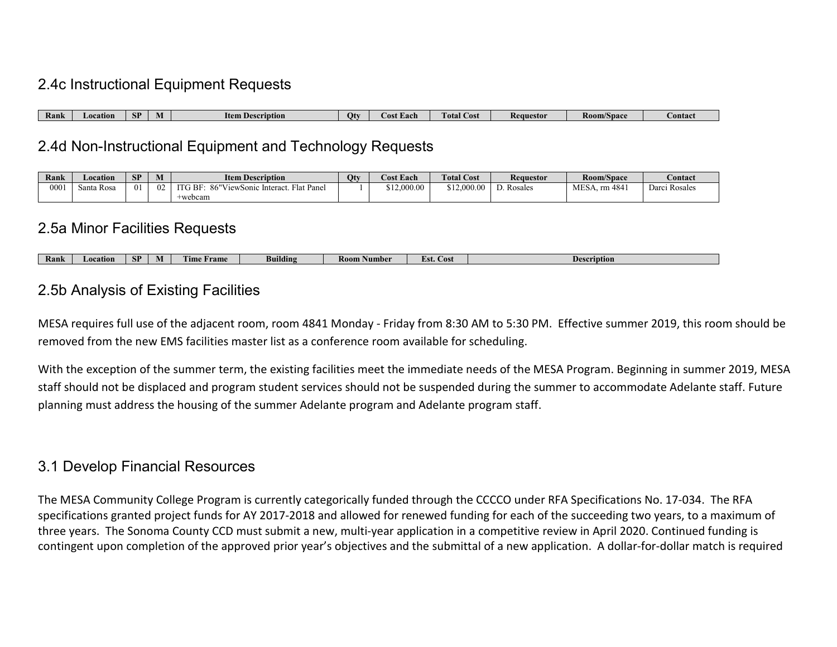### 2.4c Instructional Equipment Requests

| Rank | ation<br><b>I</b> AIL | <b>SP</b> | Item D<br>scription | Otv | Jost Each | $\mathcal{L}$ ost<br>l otal | Requestor | Roo | 1/Space | сошас |
|------|-----------------------|-----------|---------------------|-----|-----------|-----------------------------|-----------|-----|---------|-------|

### 2.4d Non-Instructional Equipment and Technology Requests

| Rank | Location   | <b>SP</b>   | M  | <b>Item Description</b>                                                                   | Otv | <b>Cost Each</b> | <b>Total Cost</b>       | Requestor | Room/Space     | Contact          |
|------|------------|-------------|----|-------------------------------------------------------------------------------------------|-----|------------------|-------------------------|-----------|----------------|------------------|
| 000  | Santa Rosa | $^{\prime}$ | 02 | $\mathbf{r}$<br>86"V<br>$\cdot$ G BF $\cdot$<br>lat Panel<br>ViewSonic<br>Interact.<br>ыĸ |     | \$12,000.00      | ,000.00<br>010<br>ے د ت | Rosales   | m 4841<br>MES/ | Rosales<br>Jarcı |
|      |            |             |    | ⊦webcam                                                                                   |     |                  |                         |           |                |                  |

### 2.5a Minor Facilities Requests

| Rank | `ation<br>$\sim$ | <b>CD</b><br>эL | . .<br>ıм | rune.<br>l'ime<br><b>Tame</b> | $\sim$<br>Building | K00<br>Aumber | н с<br>Cost | <b>Description</b> |
|------|------------------|-----------------|-----------|-------------------------------|--------------------|---------------|-------------|--------------------|

### 2.5b Analysis of Existing Facilities

MESA requires full use of the adjacent room, room 4841 Monday - Friday from 8:30 AM to 5:30 PM. Effective summer 2019, this room should be removed from the new EMS facilities master list as a conference room available for scheduling.

With the exception of the summer term, the existing facilities meet the immediate needs of the MESA Program. Beginning in summer 2019, MESA staff should not be displaced and program student services should not be suspended during the summer to accommodate Adelante staff. Future planning must address the housing of the summer Adelante program and Adelante program staff.

### 3.1 Develop Financial Resources

The MESA Community College Program is currently categorically funded through the CCCCO under RFA Specifications No. 17-034. The RFA specifications granted project funds for AY 2017-2018 and allowed for renewed funding for each of the succeeding two years, to a maximum of three years. The Sonoma County CCD must submit a new, multi-year application in a competitive review in April 2020. Continued funding is contingent upon completion of the approved prior year's objectives and the submittal of a new application. A dollar-for-dollar match is required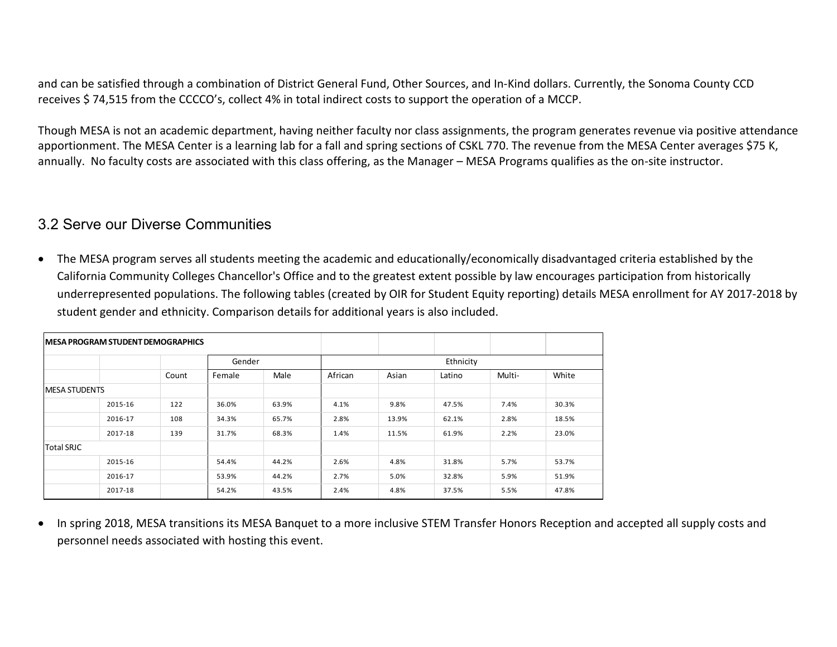and can be satisfied through a combination of District General Fund, Other Sources, and In-Kind dollars. Currently, the Sonoma County CCD receives \$ 74,515 from the CCCCO's, collect 4% in total indirect costs to support the operation of a MCCP.

Though MESA is not an academic department, having neither faculty nor class assignments, the program generates revenue via positive attendance apportionment. The MESA Center is a learning lab for a fall and spring sections of CSKL 770. The revenue from the MESA Center averages \$75 K, annually. No faculty costs are associated with this class offering, as the Manager – MESA Programs qualifies as the on-site instructor.

### 3.2 Serve our Diverse Communities

• The MESA program serves all students meeting the academic and educationally/economically disadvantaged criteria established by the California Community Colleges Chancellor's Office and to the greatest extent possible by law encourages participation from historically underrepresented populations. The following tables (created by OIR for Student Equity reporting) details MESA enrollment for AY 2017-2018 by student gender and ethnicity. Comparison details for additional years is also included.

|                       | <b>IMESA PROGRAM STUDENT DEMOGRAPHICS</b> |       |                     |       |         |       |        |        |       |
|-----------------------|-------------------------------------------|-------|---------------------|-------|---------|-------|--------|--------|-------|
|                       |                                           | Count | Ethnicity<br>Gender |       |         |       |        |        |       |
|                       |                                           |       | Female              | Male  | African | Asian | Latino | Multi- | White |
| <b>IMESA STUDENTS</b> |                                           |       |                     |       |         |       |        |        |       |
|                       | 2015-16                                   | 122   | 36.0%               | 63.9% | 4.1%    | 9.8%  | 47.5%  | 7.4%   | 30.3% |
|                       | 2016-17                                   | 108   | 34.3%               | 65.7% | 2.8%    | 13.9% | 62.1%  | 2.8%   | 18.5% |
|                       | 2017-18                                   | 139   | 31.7%               | 68.3% | 1.4%    | 11.5% | 61.9%  | 2.2%   | 23.0% |
| <b>Total SRJC</b>     |                                           |       |                     |       |         |       |        |        |       |
|                       | 2015-16                                   |       | 54.4%               | 44.2% | 2.6%    | 4.8%  | 31.8%  | 5.7%   | 53.7% |
|                       | 2016-17                                   |       | 53.9%               | 44.2% | 2.7%    | 5.0%  | 32.8%  | 5.9%   | 51.9% |
|                       | 2017-18                                   |       | 54.2%               | 43.5% | 2.4%    | 4.8%  | 37.5%  | 5.5%   | 47.8% |

• In spring 2018, MESA transitions its MESA Banquet to a more inclusive STEM Transfer Honors Reception and accepted all supply costs and personnel needs associated with hosting this event.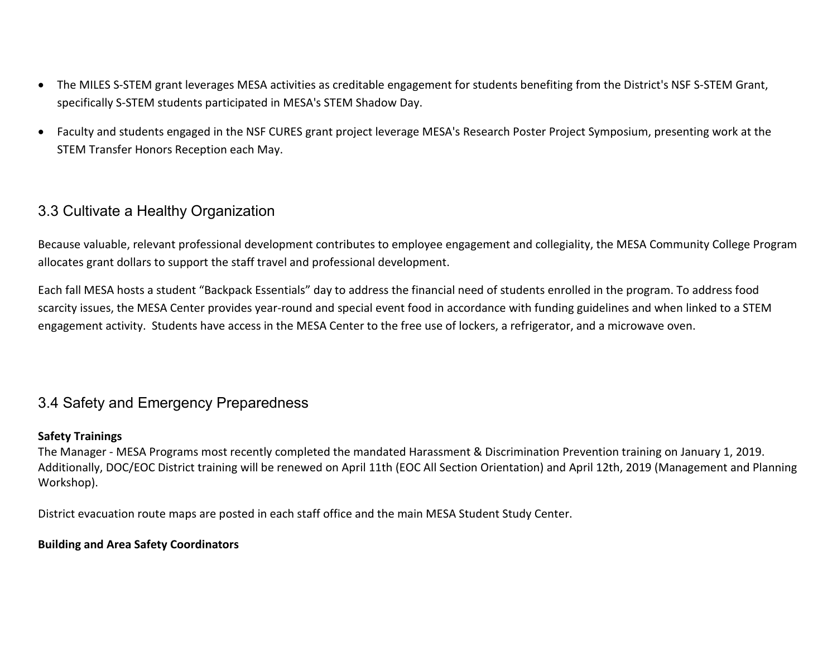- The MILES S-STEM grant leverages MESA activities as creditable engagement for students benefiting from the District's NSF S-STEM Grant, specifically S-STEM students participated in MESA's STEM Shadow Day.
- Faculty and students engaged in the NSF CURES grant project leverage MESA's Research Poster Project Symposium, presenting work at the STEM Transfer Honors Reception each May.

### 3.3 Cultivate a Healthy Organization

Because valuable, relevant professional development contributes to employee engagement and collegiality, the MESA Community College Program allocates grant dollars to support the staff travel and professional development.

Each fall MESA hosts a student "Backpack Essentials" day to address the financial need of students enrolled in the program. To address food scarcity issues, the MESA Center provides year-round and special event food in accordance with funding guidelines and when linked to a STEM engagement activity. Students have access in the MESA Center to the free use of lockers, a refrigerator, and a microwave oven.

### 3.4 Safety and Emergency Preparedness

#### **Safety Trainings**

The Manager - MESA Programs most recently completed the mandated Harassment & Discrimination Prevention training on January 1, 2019. Additionally, DOC/EOC District training will be renewed on April 11th (EOC All Section Orientation) and April 12th, 2019 (Management and Planning Workshop).

District evacuation route maps are posted in each staff office and the main MESA Student Study Center.

#### **Building and Area Safety Coordinators**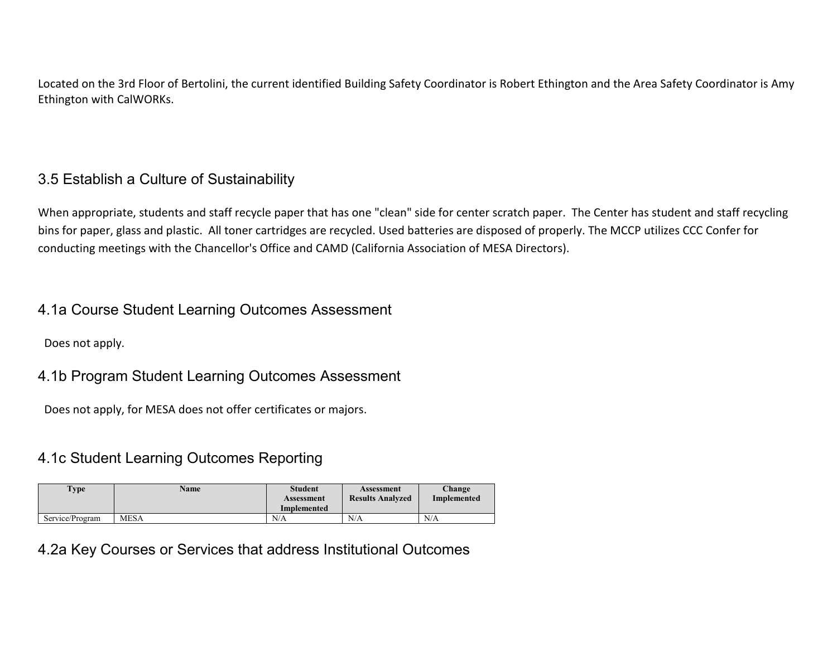Located on the 3rd Floor of Bertolini, the current identified Building Safety Coordinator is Robert Ethington and the Area Safety Coordinator is Amy Ethington with CalWORKs.

### 3.5 Establish a Culture of Sustainability

When appropriate, students and staff recycle paper that has one "clean" side for center scratch paper. The Center has student and staff recycling bins for paper, glass and plastic. All toner cartridges are recycled. Used batteries are disposed of properly. The MCCP utilizes CCC Confer for conducting meetings with the Chancellor's Office and CAMD (California Association of MESA Directors).

### 4.1a Course Student Learning Outcomes Assessment

Does not apply.

### 4.1b Program Student Learning Outcomes Assessment

Does not apply, for MESA does not offer certificates or majors.

### 4.1c Student Learning Outcomes Reporting

| <b>Type</b>     | <b>Name</b> | <b>Student</b><br>Assessment<br>Implemented | Assessment<br><b>Results Analyzed</b> | Change<br>Implemented |
|-----------------|-------------|---------------------------------------------|---------------------------------------|-----------------------|
| Service/Program | <b>MESA</b> | N/A                                         | N/A                                   | N/A                   |

### 4.2a Key Courses or Services that address Institutional Outcomes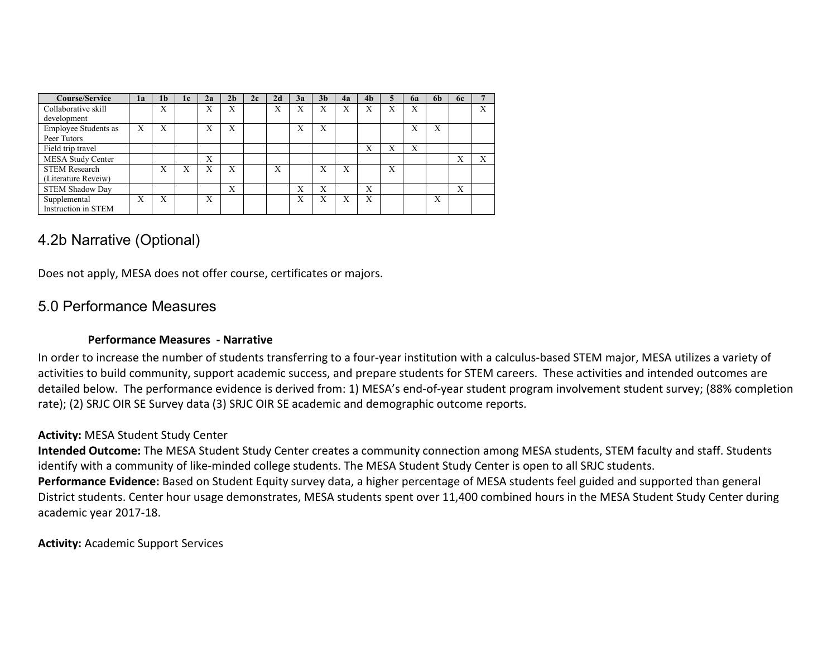| <b>Course/Service</b>       | 1a | 1 <sub>b</sub> | 1c | 2a | 2 <sub>h</sub> | 2c | 2d                | 3a | 3 <sub>b</sub> | 4а | 4 <sub>b</sub> | 5 | <b>6a</b> | 6b                        | 6c |   |
|-----------------------------|----|----------------|----|----|----------------|----|-------------------|----|----------------|----|----------------|---|-----------|---------------------------|----|---|
| Collaborative skill         |    | X              |    | X  | X              |    | $\mathbf{v}$<br>л | X  | X              | X  | X              | X | X         |                           |    | X |
| development                 |    |                |    |    |                |    |                   |    |                |    |                |   |           |                           |    |   |
| <b>Employee Students as</b> | X  | X              |    | X  | X              |    |                   | X  | X              |    |                |   | X         | $\mathbf{v}$<br>л         |    |   |
| Peer Tutors                 |    |                |    |    |                |    |                   |    |                |    |                |   |           |                           |    |   |
| Field trip travel           |    |                |    |    |                |    |                   |    |                |    | X              | X | X         |                           |    |   |
| MESA Study Center           |    |                |    | X  |                |    |                   |    |                |    |                |   |           |                           | X  | X |
| <b>STEM Research</b>        |    | X              | Х  | X  | X              |    | X                 |    | X              | X  |                | X |           |                           |    |   |
| (Literature Reveiw)         |    |                |    |    |                |    |                   |    |                |    |                |   |           |                           |    |   |
| <b>STEM Shadow Day</b>      |    |                |    |    | X              |    |                   | X  | X              |    | X              |   |           |                           | X  |   |
| Supplemental                | X  | X              |    | X  |                |    |                   | X  | X              | X  | X              |   |           | $\mathbf{v}$<br>$\lambda$ |    |   |
| Instruction in STEM         |    |                |    |    |                |    |                   |    |                |    |                |   |           |                           |    |   |

### 4.2b Narrative (Optional)

Does not apply, MESA does not offer course, certificates or majors.

### 5.0 Performance Measures

#### **Performance Measures - Narrative**

In order to increase the number of students transferring to a four-year institution with a calculus-based STEM major, MESA utilizes a variety of activities to build community, support academic success, and prepare students for STEM careers. These activities and intended outcomes are detailed below. The performance evidence is derived from: 1) MESA's end-of-year student program involvement student survey; (88% completion rate); (2) SRJC OIR SE Survey data (3) SRJC OIR SE academic and demographic outcome reports.

#### **Activity:** MESA Student Study Center

**Intended Outcome:** The MESA Student Study Center creates a community connection among MESA students, STEM faculty and staff. Students identify with a community of like-minded college students. The MESA Student Study Center is open to all SRJC students. **Performance Evidence:** Based on Student Equity survey data, a higher percentage of MESA students feel guided and supported than general District students. Center hour usage demonstrates, MESA students spent over 11,400 combined hours in the MESA Student Study Center during academic year 2017-18.

**Activity:** Academic Support Services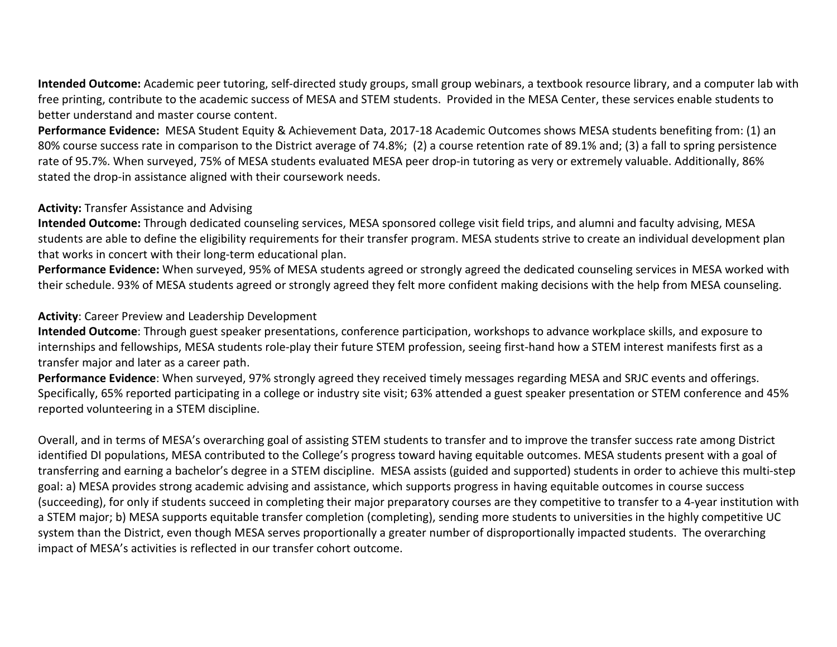**Intended Outcome:** Academic peer tutoring, self-directed study groups, small group webinars, a textbook resource library, and a computer lab with free printing, contribute to the academic success of MESA and STEM students. Provided in the MESA Center, these services enable students to better understand and master course content.

**Performance Evidence:** MESA Student Equity & Achievement Data, 2017-18 Academic Outcomes shows MESA students benefiting from: (1) an 80% course success rate in comparison to the District average of 74.8%; (2) a course retention rate of 89.1% and; (3) a fall to spring persistence rate of 95.7%. When surveyed, 75% of MESA students evaluated MESA peer drop-in tutoring as very or extremely valuable. Additionally, 86% stated the drop-in assistance aligned with their coursework needs.

#### **Activity:** Transfer Assistance and Advising

**Intended Outcome:** Through dedicated counseling services, MESA sponsored college visit field trips, and alumni and faculty advising, MESA students are able to define the eligibility requirements for their transfer program. MESA students strive to create an individual development plan that works in concert with their long-term educational plan.

**Performance Evidence:** When surveyed, 95% of MESA students agreed or strongly agreed the dedicated counseling services in MESA worked with their schedule. 93% of MESA students agreed or strongly agreed they felt more confident making decisions with the help from MESA counseling.

#### **Activity**: Career Preview and Leadership Development

**Intended Outcome**: Through guest speaker presentations, conference participation, workshops to advance workplace skills, and exposure to internships and fellowships, MESA students role-play their future STEM profession, seeing first-hand how a STEM interest manifests first as a transfer major and later as a career path.

**Performance Evidence**: When surveyed, 97% strongly agreed they received timely messages regarding MESA and SRJC events and offerings. Specifically, 65% reported participating in a college or industry site visit; 63% attended a guest speaker presentation or STEM conference and 45% reported volunteering in a STEM discipline.

Overall, and in terms of MESA's overarching goal of assisting STEM students to transfer and to improve the transfer success rate among District identified DI populations, MESA contributed to the College's progress toward having equitable outcomes. MESA students present with a goal of transferring and earning a bachelor's degree in a STEM discipline. MESA assists (guided and supported) students in order to achieve this multi-step goal: a) MESA provides strong academic advising and assistance, which supports progress in having equitable outcomes in course success (succeeding), for only if students succeed in completing their major preparatory courses are they competitive to transfer to a 4-year institution with a STEM major; b) MESA supports equitable transfer completion (completing), sending more students to universities in the highly competitive UC system than the District, even though MESA serves proportionally a greater number of disproportionally impacted students. The overarching impact of MESA's activities is reflected in our transfer cohort outcome.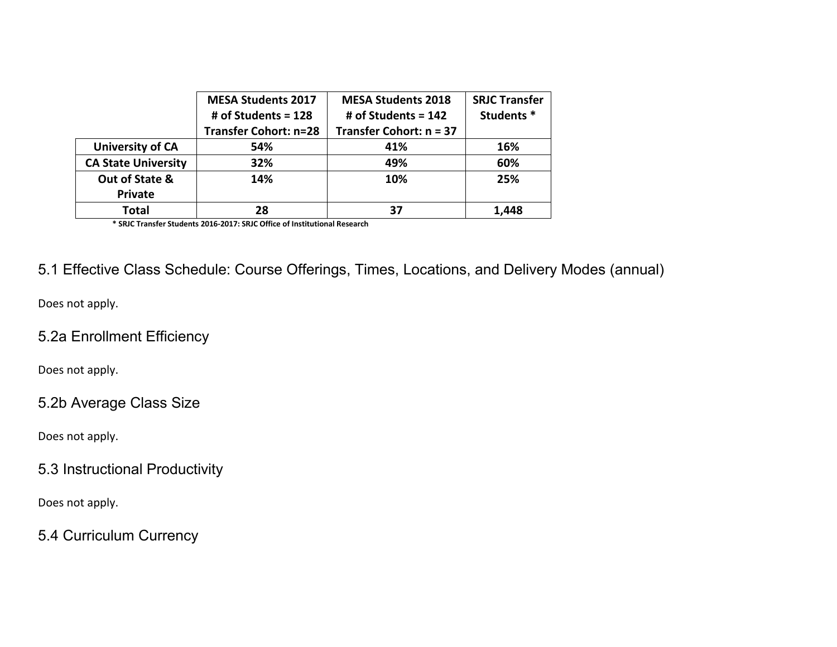|                            | <b>MESA Students 2017</b>    | <b>MESA Students 2018</b> | <b>SRJC Transfer</b> |
|----------------------------|------------------------------|---------------------------|----------------------|
|                            | # of Students = $128$        | # of Students = $142$     | Students*            |
|                            | <b>Transfer Cohort: n=28</b> | Transfer Cohort: n = 37   |                      |
| <b>University of CA</b>    | 54%                          | 41%                       | 16%                  |
| <b>CA State University</b> | 32%                          | 49%                       | 60%                  |
| Out of State &             | 14%                          | 10%                       | 25%                  |
| <b>Private</b>             |                              |                           |                      |
| Total                      | 28                           | 37                        | 1.448                |

**Total <sup>28</sup> <sup>37</sup> 1,448 \* SRJC Transfer Students 2016-2017: SRJC Office of Institutional Research** 

### 5.1 Effective Class Schedule: Course Offerings, Times, Locations, and Delivery Modes (annual)

Does not apply.

### 5.2a Enrollment Efficiency

Does not apply.

### 5.2b Average Class Size

Does not apply.

### 5.3 Instructional Productivity

Does not apply.

### 5.4 Curriculum Currency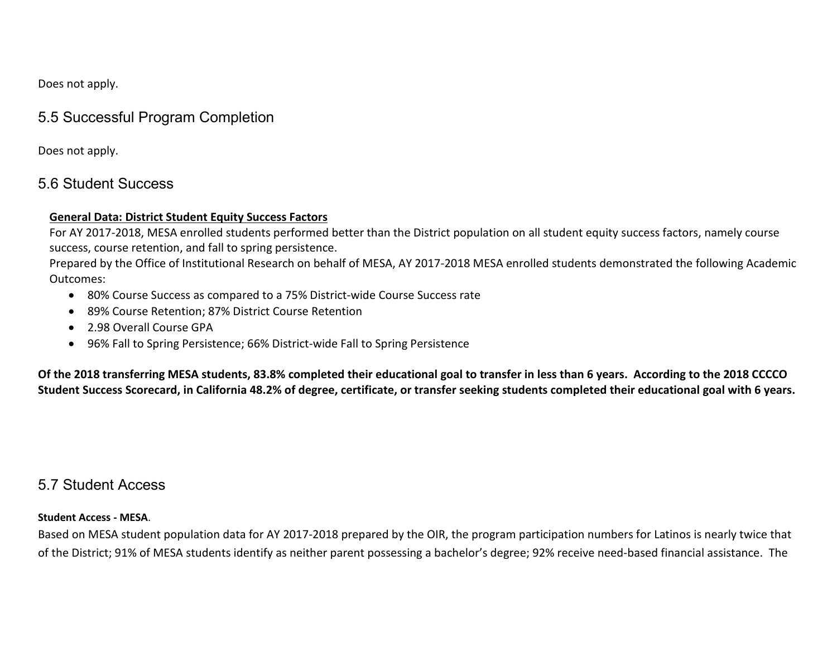Does not apply.

### 5.5 Successful Program Completion

Does not apply.

### 5.6 Student Success

#### **General Data: District Student Equity Success Factors**

For AY 2017-2018, MESA enrolled students performed better than the District population on all student equity success factors, namely course success, course retention, and fall to spring persistence.

Prepared by the Office of Institutional Research on behalf of MESA, AY 2017-2018 MESA enrolled students demonstrated the following Academic Outcomes:

- 80% Course Success as compared to a 75% District-wide Course Success rate
- 89% Course Retention; 87% District Course Retention
- 2.98 Overall Course GPA
- 96% Fall to Spring Persistence; 66% District-wide Fall to Spring Persistence

**Of the 2018 transferring MESA students, 83.8% completed their educational goal to transfer in less than 6 years. According to the 2018 CCCCO Student Success Scorecard, in California 48.2% of degree, certificate, or transfer seeking students completed their educational goal with 6 years.**

### 5.7 Student Access

#### **Student Access - MESA**.

Based on MESA student population data for AY 2017-2018 prepared by the OIR, the program participation numbers for Latinos is nearly twice that of the District; 91% of MESA students identify as neither parent possessing a bachelor's degree; 92% receive need-based financial assistance. The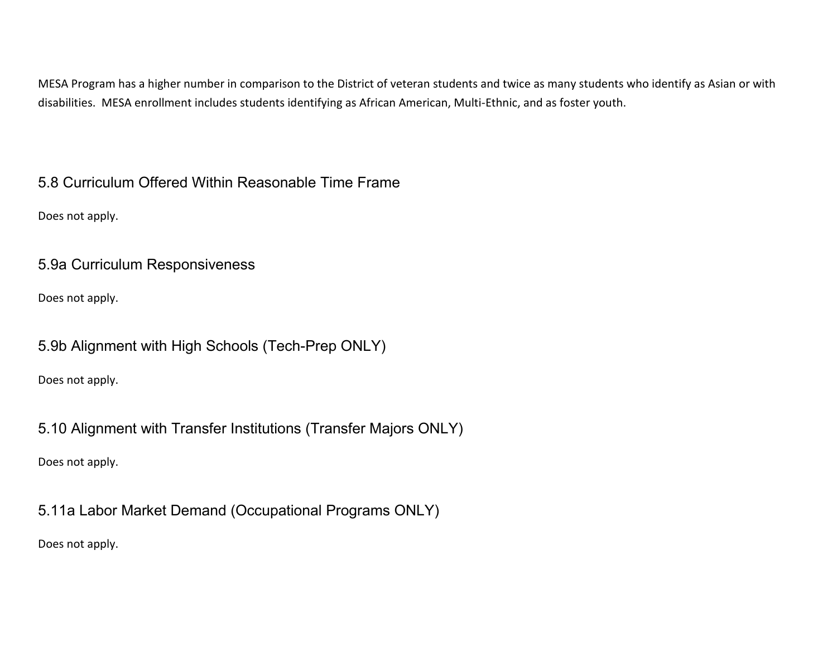MESA Program has a higher number in comparison to the District of veteran students and twice as many students who identify as Asian or with disabilities. MESA enrollment includes students identifying as African American, Multi-Ethnic, and as foster youth.

5.8 Curriculum Offered Within Reasonable Time Frame

Does not apply.

5.9a Curriculum Responsiveness

Does not apply.

5.9b Alignment with High Schools (Tech-Prep ONLY)

Does not apply.

5.10 Alignment with Transfer Institutions (Transfer Majors ONLY)

Does not apply.

5.11a Labor Market Demand (Occupational Programs ONLY)

Does not apply.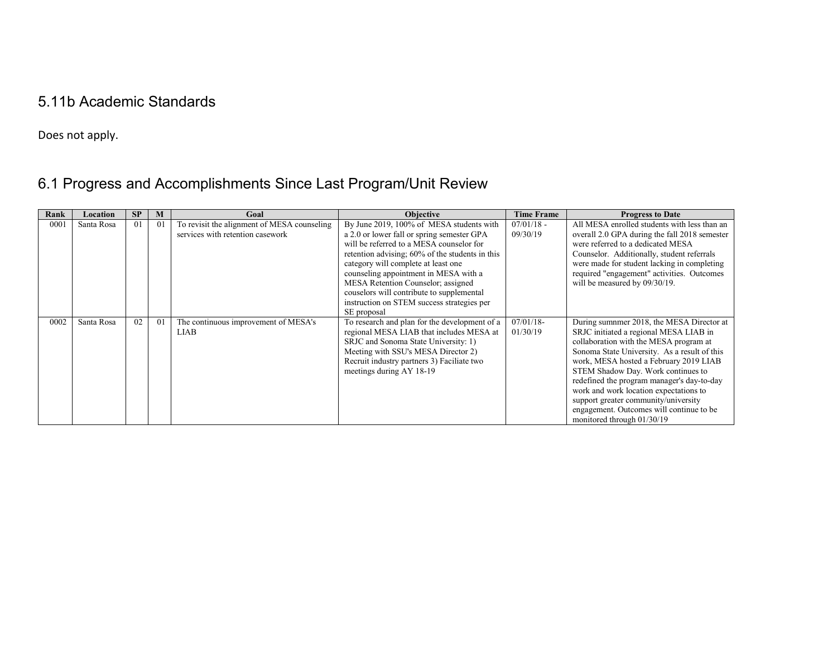## 5.11b Academic Standards

Does not apply.

# 6.1 Progress and Accomplishments Since Last Program/Unit Review

| Rank | Location   | <b>SP</b> | M  | Goal                                                                            | <b>Objective</b>                                                                                                                                                                                                                                                                                                                                                                                                      | <b>Time Frame</b>        | <b>Progress to Date</b>                                                                                                                                                                                                                                                                                                                                                                                                                                                 |
|------|------------|-----------|----|---------------------------------------------------------------------------------|-----------------------------------------------------------------------------------------------------------------------------------------------------------------------------------------------------------------------------------------------------------------------------------------------------------------------------------------------------------------------------------------------------------------------|--------------------------|-------------------------------------------------------------------------------------------------------------------------------------------------------------------------------------------------------------------------------------------------------------------------------------------------------------------------------------------------------------------------------------------------------------------------------------------------------------------------|
| 0001 | Santa Rosa | 01        | 01 | To revisit the alignment of MESA counseling<br>services with retention casework | By June 2019, 100% of MESA students with<br>a 2.0 or lower fall or spring semester GPA<br>will be referred to a MESA counselor for<br>retention advising; 60% of the students in this<br>category will complete at least one<br>counseling appointment in MESA with a<br>MESA Retention Counselor; assigned<br>couselors will contribute to supplemental<br>instruction on STEM success strategies per<br>SE proposal | $07/01/18$ -<br>09/30/19 | All MESA enrolled students with less than an<br>overall 2.0 GPA during the fall 2018 semester<br>were referred to a dedicated MESA<br>Counselor. Additionally, student referrals<br>were made for student lacking in completing<br>required "engagement" activities. Outcomes<br>will be measured by 09/30/19.                                                                                                                                                          |
| 0002 | Santa Rosa | 02        | 01 | The continuous improvement of MESA's<br><b>LIAB</b>                             | To research and plan for the development of a<br>regional MESA LIAB that includes MESA at<br>SRJC and Sonoma State University: 1)<br>Meeting with SSU's MESA Director 2)<br>Recruit industry partners 3) Faciliate two<br>meetings during AY 18-19                                                                                                                                                                    | $07/01/18$ -<br>01/30/19 | During sumnmer 2018, the MESA Director at<br>SRJC initiated a regional MESA LIAB in<br>collaboration with the MESA program at<br>Sonoma State University. As a result of this<br>work, MESA hosted a February 2019 LIAB<br>STEM Shadow Day. Work continues to<br>redefined the program manager's day-to-day<br>work and work location expectations to<br>support greater community/university<br>engagement. Outcomes will continue to be<br>monitored through 01/30/19 |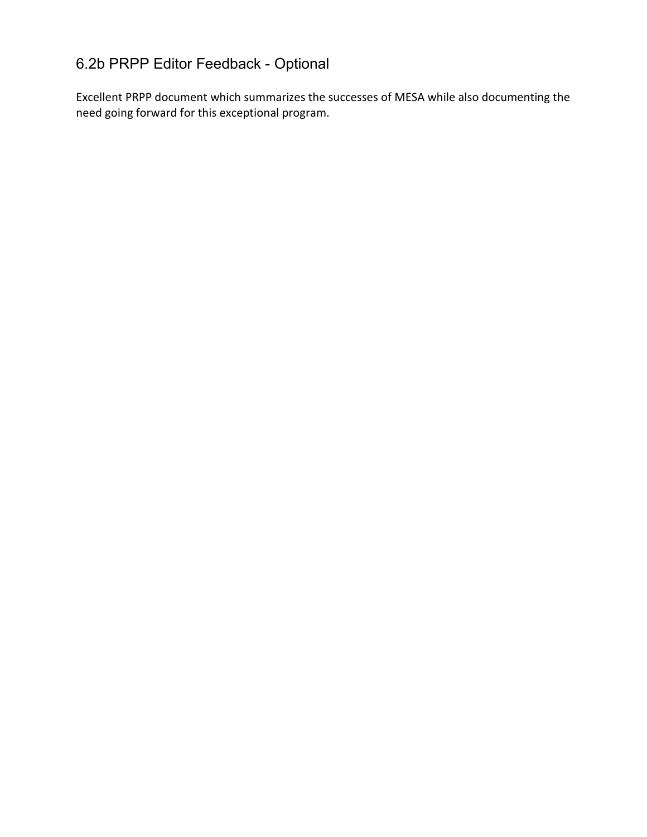## 6.2b PRPP Editor Feedback - Optional

Excellent PRPP document which summarizes the successes of MESA while also documenting the need going forward for this exceptional program.